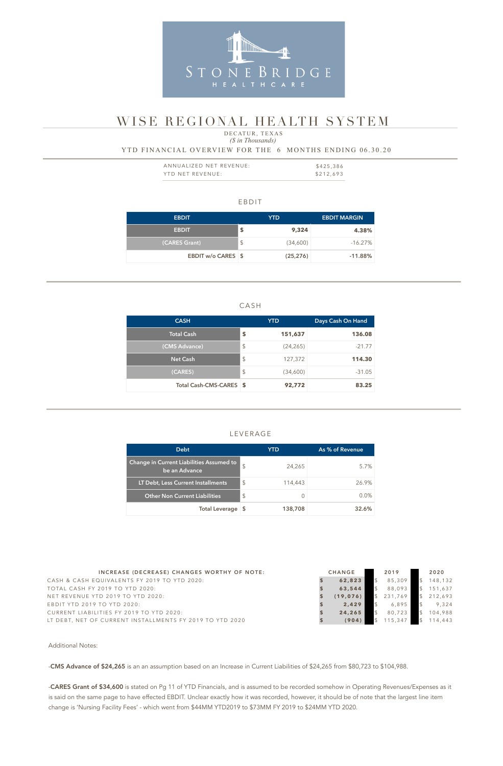#### EBDIT

| <b>EBDIT</b>       | YTD. |           | <b>EBDIT MARGIN</b> |  |  |
|--------------------|------|-----------|---------------------|--|--|
| <b>EBDIT</b>       |      | 9,324     | 4.38%               |  |  |
| (CARES Grant)      | \$   | (34,600)  | $-16.27\%$          |  |  |
| EBDIT w/o CARES \$ |      | (25, 276) | $-11.88\%$          |  |  |

#### CASH

| <b>CASH</b>             |                         | <b>YTD</b> | Days Cash On Hand |  |  |
|-------------------------|-------------------------|------------|-------------------|--|--|
| Total Cash              | \$                      | 151,637    | 136.08            |  |  |
| (CMS Advance)           | \$                      | (24, 265)  | $-21.77$          |  |  |
| <b>Net Cash</b>         | $\sqrt{2}$              | 127,372    | 114.30            |  |  |
| (CARES)                 | $\sqrt[6]{\frac{1}{2}}$ | (34,600)   | $-31.05$          |  |  |
| Total Cash-CMS-CARES \$ |                         | 92,772     | 83.25             |  |  |

| ANNUALIZED NET REVENUE: | \$425,386 |
|-------------------------|-----------|
| YTD NET REVENUE:        | \$212,693 |

#### LEVERAGE

### *(\$ in Thousands)* YTD FINANCIAL OVERVIEW FOR THE 6 MONTHS ENDING 06.30.20 DECATUR, TEXAS

| <b>Debt</b>                                               |                | YTD     | As % of Revenue |
|-----------------------------------------------------------|----------------|---------|-----------------|
| Change in Current Liabilities Assumed to<br>be an Advance | $\mathfrak{L}$ | 24,265  | 5.7%            |
| LT Debt, Less Current Installments                        | \$             | 114,443 | 26.9%           |
| <b>Other Non Current Liabilities</b>                      | \$             | O       | 0.0%            |
| <b>Total Leverage</b>                                     |                | 138,708 | 32.6%           |



# WISE REGIONAL HEALTH SYSTEM

-CARES Grant of \$34,600 is stated on Pg 11 of YTD Financials, and is assumed to be recorded somehow in Operating Revenues/Expenses as it is said on the same page to have effected EBDIT. Unclear exactly how it was recorded, however, it should be of note that the largest line item change is 'Nursing Facility Fees' - which went from \$44MM YTD2019 to \$73MM FY 2019 to \$24MM YTD 2020.

| INCREASE (DECREASE) CHANGES WORTHY OF NOTE:              | <b>CHANGE</b> | 2019    | 2020    |
|----------------------------------------------------------|---------------|---------|---------|
| CASH & CASH EQUIVALENTS FY 2019 TO YTD 2020:             | 62,823        | 85.309  | 148,132 |
| TOTAL CASH FY 2019 TO YTD 2020:                          | 63,544        | 88,093  | 151,637 |
| NET REVENUE YTD 2019 TO YTD 2020:                        | (19.076)      | 231.769 | 212,693 |
| EBDIT YTD 2019 TO YTD 2020:                              | 2.429         | 6.895   | 9.324   |
| CURRENT LIABILITIES FY 2019 TO YTD 2020:                 | 24.265        | 80.723  | 104,988 |
| LT DEBT, NET OF CURRENT INSTALLMENTS FY 2019 TO YTD 2020 | (904)         | 15.347  | 14,443  |

Additional Notes:

-CMS Advance of \$24,265 is an an assumption based on an Increase in Current Liabilities of \$24,265 from \$80,723 to \$104,988.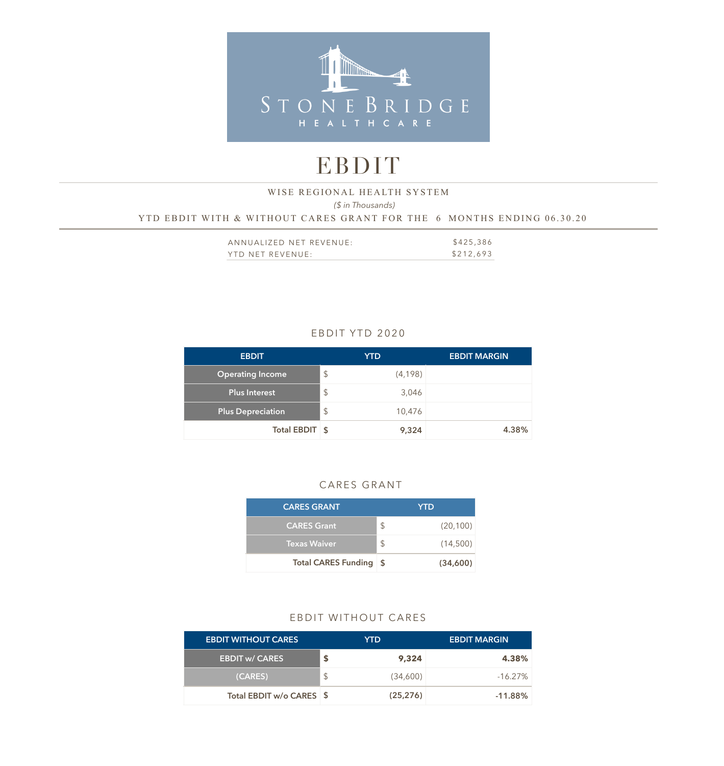

# EBDIT

## *(\$ in Thousands)*  YTD EBDIT WITH & WITHOUT CARES GRANT FOR THE 6 MONTHS ENDING 06.30.20 WISE REGIONAL HEALTH SYSTEM

| ANNUALIZED NET REVENUE: | \$425,386 |
|-------------------------|-----------|
| YTD NET REVENUE:        | \$212,693 |

### EBDIT YTD 2020

| <b>EBDIT</b>             | <b>YTD</b>    |          | <b>EBDIT MARGIN</b> |
|--------------------------|---------------|----------|---------------------|
| <b>Operating Income</b>  | $\frac{1}{2}$ | (4, 198) |                     |
| <b>Plus Interest</b>     | \$            | 3,046    |                     |
| <b>Plus Depreciation</b> | $\frac{1}{2}$ | 10,476   |                     |
| Total EBDIT \$           |               | 9,324    | 4.38%               |

#### CARES GRANT

| <b>CARES GRANT</b>     | <b>YTD</b>      |
|------------------------|-----------------|
| <b>CARES Grant</b>     | \$<br>(20, 100) |
| <b>Texas Waiver</b>    | \$<br>(14,500)  |
| Total CARES Funding \$ | (34,600)        |

#### EBDIT WITHOUT CARES

| <b>EBDIT WITHOUT CARES.</b> | YTD. |           | <b>EBDIT MARGIN</b> |
|-----------------------------|------|-----------|---------------------|
| <b>EBDIT w/ CARES</b>       | S    | 9,324     | 4.38%               |
| (CARES)                     |      | (34,600)  | $-16.27\%$          |
| Total EBDIT w/o CARES \$    |      | (25, 276) | $-11.88\%$          |